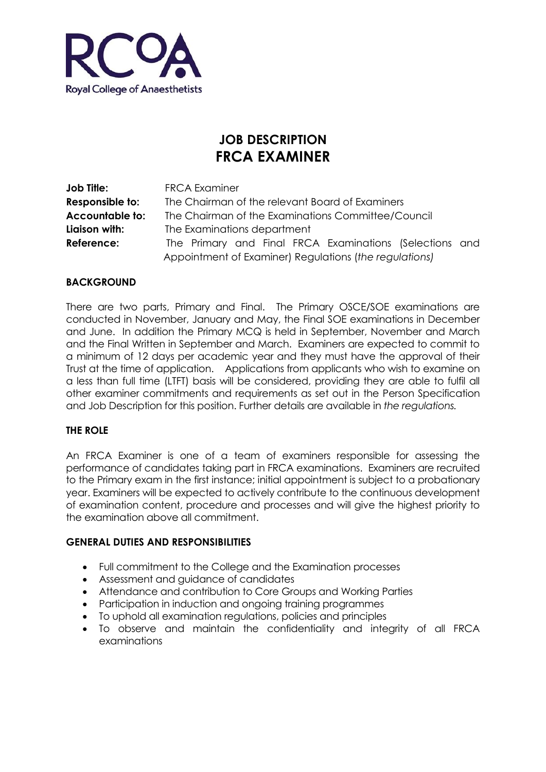

# **JOB DESCRIPTION FRCA EXAMINER**

| Job Title:             | <b>FRCA Examiner</b>                                    |  |  |
|------------------------|---------------------------------------------------------|--|--|
| Responsible to:        | The Chairman of the relevant Board of Examiners         |  |  |
| <b>Accountable to:</b> | The Chairman of the Examinations Committee/Council      |  |  |
| Liaison with:          | The Examinations department                             |  |  |
| Reference:             | The Primary and Final FRCA Examinations (Selections and |  |  |
|                        | Appointment of Examiner) Regulations (the regulations)  |  |  |

### **BACKGROUND**

There are two parts, Primary and Final. The Primary OSCE/SOE examinations are conducted in November, January and May, the Final SOE examinations in December and June. In addition the Primary MCQ is held in September, November and March and the Final Written in September and March. Examiners are expected to commit to a minimum of 12 days per academic year and they must have the approval of their Trust at the time of application. Applications from applicants who wish to examine on a less than full time (LTFT) basis will be considered, providing they are able to fulfil all other examiner commitments and requirements as set out in the Person Specification and Job Description for this position. Further details are available in *the regulations.*

### **THE ROLE**

An FRCA Examiner is one of a team of examiners responsible for assessing the performance of candidates taking part in FRCA examinations. Examiners are recruited to the Primary exam in the first instance; initial appointment is subject to a probationary year. Examiners will be expected to actively contribute to the continuous development of examination content, procedure and processes and will give the highest priority to the examination above all commitment.

#### **GENERAL DUTIES AND RESPONSIBILITIES**

- Full commitment to the College and the Examination processes
- Assessment and guidance of candidates
- Attendance and contribution to Core Groups and Working Parties
- Participation in induction and ongoing training programmes
- To uphold all examination regulations, policies and principles
- To observe and maintain the confidentiality and integrity of all FRCA examinations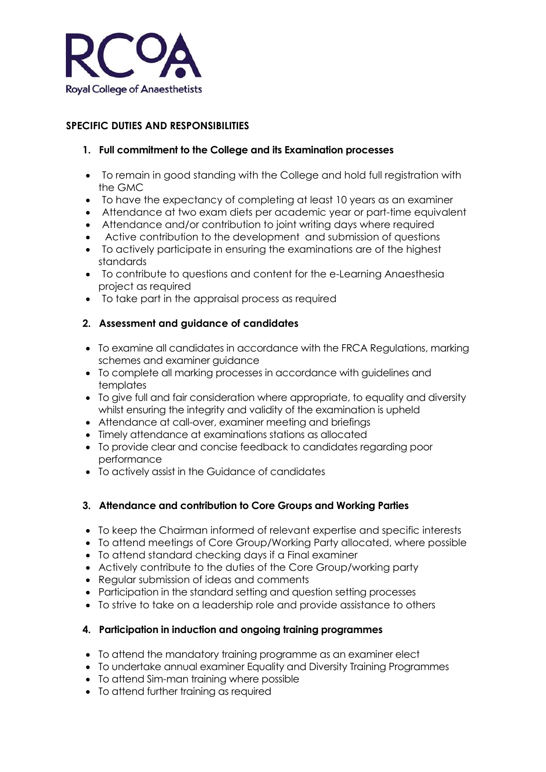

## **SPECIFIC DUTIES AND RESPONSIBILITIES**

### **1. Full commitment to the College and its Examination processes**

- To remain in good standing with the College and hold full registration with the GMC
- To have the expectancy of completing at least 10 years as an examiner
- Attendance at two exam diets per academic year or part-time equivalent
- Attendance and/or contribution to joint writing days where required
- Active contribution to the development and submission of questions
- To actively participate in ensuring the examinations are of the highest standards
- To contribute to questions and content for the e-Learning Anaesthesia project as required
- To take part in the appraisal process as required

### **2. Assessment and guidance of candidates**

- To examine all candidates in accordance with the FRCA Regulations, marking schemes and examiner guidance
- To complete all marking processes in accordance with guidelines and templates
- To give full and fair consideration where appropriate, to equality and diversity whilst ensuring the integrity and validity of the examination is upheld
- Attendance at call-over, examiner meeting and briefings
- Timely attendance at examinations stations as allocated
- To provide clear and concise feedback to candidates regarding poor performance
- To actively assist in the Guidance of candidates

### **3. Attendance and contribution to Core Groups and Working Parties**

- To keep the Chairman informed of relevant expertise and specific interests
- To attend meetings of Core Group/Working Party allocated, where possible
- To attend standard checking days if a Final examiner
- Actively contribute to the duties of the Core Group/working party
- Regular submission of ideas and comments
- Participation in the standard setting and question setting processes
- To strive to take on a leadership role and provide assistance to others

### **4. Participation in induction and ongoing training programmes**

- To attend the mandatory training programme as an examiner elect
- To undertake annual examiner Equality and Diversity Training Programmes
- To attend Sim-man training where possible
- To attend further training as required